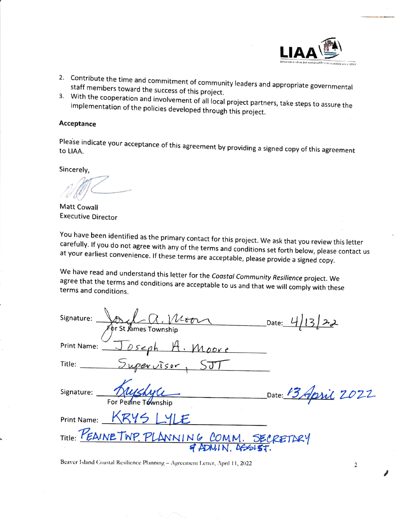

- 2. Contribute the time and commitment of community leaders and appropriate governmental<br>staff members toward the success of this project.<br>3. With the cooperation and involvement of all local project partners, take steps to
- 

## Acceptance

Please indicate your acceptance of this agreement by providing a signed copy of this agreement<br>to LIAA.

Sincerely,

L

Matt Cowall Executive Director

You have been identified as the primary contact for this project. We ask that you review this letter<br>carefully. If you do not agree with any of the tarres and white the sek that you review this letter at your et if you do not agree with any of the terms and conditions set forth below, please contact us earliest convenience. If these terms are acceptable, please provide a signed copy.

We have read and understand this letter for the Coastal Community Resilience project. We agree that the terms and conditions are acceptable to us and that we will comply with these terms and conditions.

| $L_{Q,Weon}$<br>Signature:<br>Date: $4/13$<br>For St James Township |
|---------------------------------------------------------------------|
| Joseph A. Moore<br>Print Name:                                      |
| Supervisor, SJ<br>Title: <b>William Street</b>                      |
| Signature: hushyle<br>Date: 13 April 2022<br>For Peaine Township    |
| Print Name: KRYS I YIF.                                             |
| Title: PEAINE TWP. PLANNING COMM. SECRETARY                         |

Beaver Island Coastal Resilience Planning - Agreement Letter, April 11, 2022

,

 $\overline{2}$